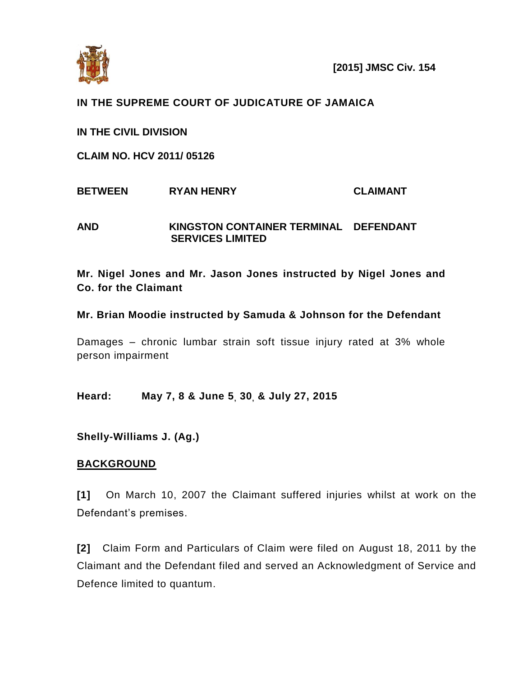

# **IN THE SUPREME COURT OF JUDICATURE OF JAMAICA**

**IN THE CIVIL DIVISION**

**CLAIM NO. HCV 2011/ 05126**

**BETWEEN RYAN HENRY CLAIMANT** 

**AND KINGSTON CONTAINER TERMINAL DEFENDANT SERVICES LIMITED** 

**Mr. Nigel Jones and Mr. Jason Jones instructed by Nigel Jones and Co. for the Claimant**

## **Mr. Brian Moodie instructed by Samuda & Johnson for the Defendant**

Damages – chronic lumbar strain soft tissue injury rated at 3% whole person impairment

**Heard: May 7, 8 & June 5, 30, & July 27, 2015**

**Shelly-Williams J. (Ag.)**

# **BACKGROUND**

**[1]** On March 10, 2007 the Claimant suffered injuries whilst at work on the Defendant's premises.

**[2]** Claim Form and Particulars of Claim were filed on August 18, 2011 by the Claimant and the Defendant filed and served an Acknowledgment of Service and Defence limited to quantum.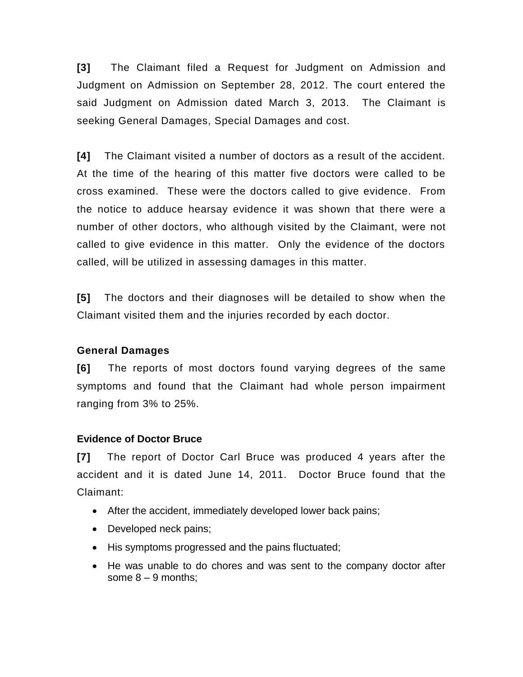**[3]** The Claimant filed a Request for Judgment on Admission and Judgment on Admission on September 28, 2012. The court entered the said Judgment on Admission dated March 3, 2013. The Claimant is seeking General Damages, Special Damages and cost.

**[4]** The Claimant visited a number of doctors as a result of the accident. At the time of the hearing of this matter five doctors were called to be cross examined. These were the doctors called to give evidence. From the notice to adduce hearsay evidence it was shown that there were a number of other doctors, who although visited by the Claimant, were not called to give evidence in this matter. Only the evidence of the doctors called, will be utilized in assessing damages in this matter.

**[5]** The doctors and their diagnoses will be detailed to show when the Claimant visited them and the injuries recorded by each doctor.

# **General Damages**

**[6]** The reports of most doctors found varying degrees of the same symptoms and found that the Claimant had whole person impairment ranging from 3% to 25%.

# **Evidence of Doctor Bruce**

**[7]** The report of Doctor Carl Bruce was produced 4 years after the accident and it is dated June 14, 2011. Doctor Bruce found that the Claimant:

- After the accident, immediately developed lower back pains;
- Developed neck pains;
- His symptoms progressed and the pains fluctuated;
- He was unable to do chores and was sent to the company doctor after some  $8 - 9$  months: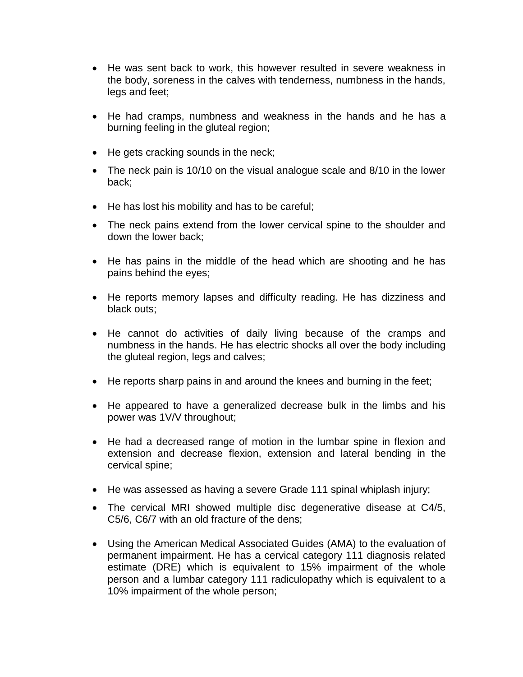- He was sent back to work, this however resulted in severe weakness in the body, soreness in the calves with tenderness, numbness in the hands, legs and feet;
- He had cramps, numbness and weakness in the hands and he has a burning feeling in the gluteal region;
- He gets cracking sounds in the neck;
- The neck pain is 10/10 on the visual analogue scale and 8/10 in the lower back;
- He has lost his mobility and has to be careful;
- The neck pains extend from the lower cervical spine to the shoulder and down the lower back;
- He has pains in the middle of the head which are shooting and he has pains behind the eyes;
- He reports memory lapses and difficulty reading. He has dizziness and black outs;
- He cannot do activities of daily living because of the cramps and numbness in the hands. He has electric shocks all over the body including the gluteal region, legs and calves;
- He reports sharp pains in and around the knees and burning in the feet;
- He appeared to have a generalized decrease bulk in the limbs and his power was 1V/V throughout;
- He had a decreased range of motion in the lumbar spine in flexion and extension and decrease flexion, extension and lateral bending in the cervical spine;
- He was assessed as having a severe Grade 111 spinal whiplash injury;
- The cervical MRI showed multiple disc degenerative disease at C4/5, C5/6, C6/7 with an old fracture of the dens;
- Using the American Medical Associated Guides (AMA) to the evaluation of permanent impairment. He has a cervical category 111 diagnosis related estimate (DRE) which is equivalent to 15% impairment of the whole person and a lumbar category 111 radiculopathy which is equivalent to a 10% impairment of the whole person;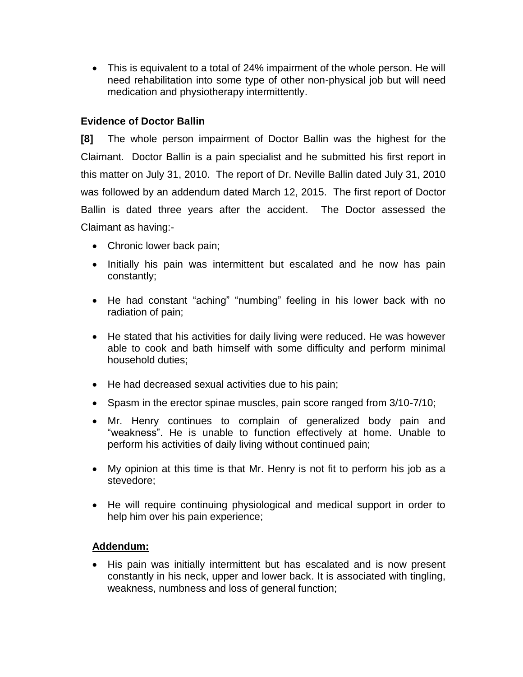This is equivalent to a total of 24% impairment of the whole person. He will need rehabilitation into some type of other non-physical job but will need medication and physiotherapy intermittently.

# **Evidence of Doctor Ballin**

**[8]** The whole person impairment of Doctor Ballin was the highest for the Claimant. Doctor Ballin is a pain specialist and he submitted his first report in this matter on July 31, 2010. The report of Dr. Neville Ballin dated July 31, 2010 was followed by an addendum dated March 12, 2015. The first report of Doctor Ballin is dated three years after the accident. The Doctor assessed the Claimant as having:-

- Chronic lower back pain;
- Initially his pain was intermittent but escalated and he now has pain constantly;
- He had constant "aching" "numbing" feeling in his lower back with no radiation of pain;
- He stated that his activities for daily living were reduced. He was however able to cook and bath himself with some difficulty and perform minimal household duties;
- He had decreased sexual activities due to his pain;
- Spasm in the erector spinae muscles, pain score ranged from 3/10-7/10;
- Mr. Henry continues to complain of generalized body pain and "weakness". He is unable to function effectively at home. Unable to perform his activities of daily living without continued pain;
- My opinion at this time is that Mr. Henry is not fit to perform his job as a stevedore;
- He will require continuing physiological and medical support in order to help him over his pain experience;

#### **Addendum:**

• His pain was initially intermittent but has escalated and is now present constantly in his neck, upper and lower back. It is associated with tingling, weakness, numbness and loss of general function;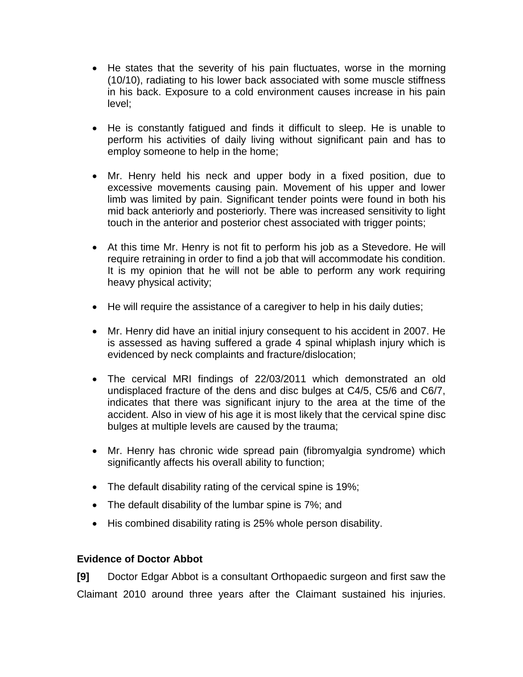- He states that the severity of his pain fluctuates, worse in the morning (10/10), radiating to his lower back associated with some muscle stiffness in his back. Exposure to a cold environment causes increase in his pain level;
- He is constantly fatigued and finds it difficult to sleep. He is unable to perform his activities of daily living without significant pain and has to employ someone to help in the home;
- Mr. Henry held his neck and upper body in a fixed position, due to excessive movements causing pain. Movement of his upper and lower limb was limited by pain. Significant tender points were found in both his mid back anteriorly and posteriorly. There was increased sensitivity to light touch in the anterior and posterior chest associated with trigger points;
- At this time Mr. Henry is not fit to perform his job as a Stevedore. He will require retraining in order to find a job that will accommodate his condition. It is my opinion that he will not be able to perform any work requiring heavy physical activity;
- He will require the assistance of a caregiver to help in his daily duties;
- Mr. Henry did have an initial injury consequent to his accident in 2007. He is assessed as having suffered a grade 4 spinal whiplash injury which is evidenced by neck complaints and fracture/dislocation;
- The cervical MRI findings of 22/03/2011 which demonstrated an old undisplaced fracture of the dens and disc bulges at C4/5, C5/6 and C6/7, indicates that there was significant injury to the area at the time of the accident. Also in view of his age it is most likely that the cervical spine disc bulges at multiple levels are caused by the trauma;
- Mr. Henry has chronic wide spread pain (fibromyalgia syndrome) which significantly affects his overall ability to function;
- The default disability rating of the cervical spine is 19%;
- The default disability of the lumbar spine is 7%; and
- His combined disability rating is 25% whole person disability.

# **Evidence of Doctor Abbot**

**[9]** Doctor Edgar Abbot is a consultant Orthopaedic surgeon and first saw the Claimant 2010 around three years after the Claimant sustained his injuries.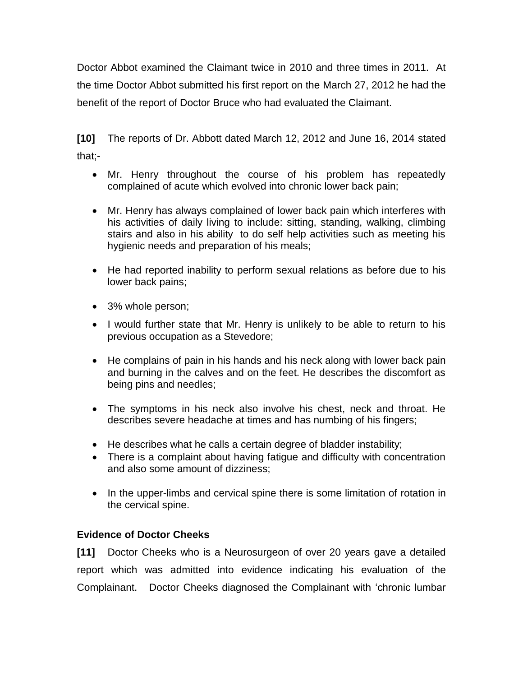Doctor Abbot examined the Claimant twice in 2010 and three times in 2011. At the time Doctor Abbot submitted his first report on the March 27, 2012 he had the benefit of the report of Doctor Bruce who had evaluated the Claimant.

**[10]** The reports of Dr. Abbott dated March 12, 2012 and June 16, 2014 stated that;-

- Mr. Henry throughout the course of his problem has repeatedly complained of acute which evolved into chronic lower back pain;
- Mr. Henry has always complained of lower back pain which interferes with his activities of daily living to include: sitting, standing, walking, climbing stairs and also in his ability to do self help activities such as meeting his hygienic needs and preparation of his meals;
- He had reported inability to perform sexual relations as before due to his lower back pains;
- 3% whole person;
- I would further state that Mr. Henry is unlikely to be able to return to his previous occupation as a Stevedore;
- He complains of pain in his hands and his neck along with lower back pain and burning in the calves and on the feet. He describes the discomfort as being pins and needles;
- The symptoms in his neck also involve his chest, neck and throat. He describes severe headache at times and has numbing of his fingers;
- He describes what he calls a certain degree of bladder instability;
- There is a complaint about having fatigue and difficulty with concentration and also some amount of dizziness;
- In the upper-limbs and cervical spine there is some limitation of rotation in the cervical spine.

# **Evidence of Doctor Cheeks**

**[11]** Doctor Cheeks who is a Neurosurgeon of over 20 years gave a detailed report which was admitted into evidence indicating his evaluation of the Complainant. Doctor Cheeks diagnosed the Complainant with 'chronic lumbar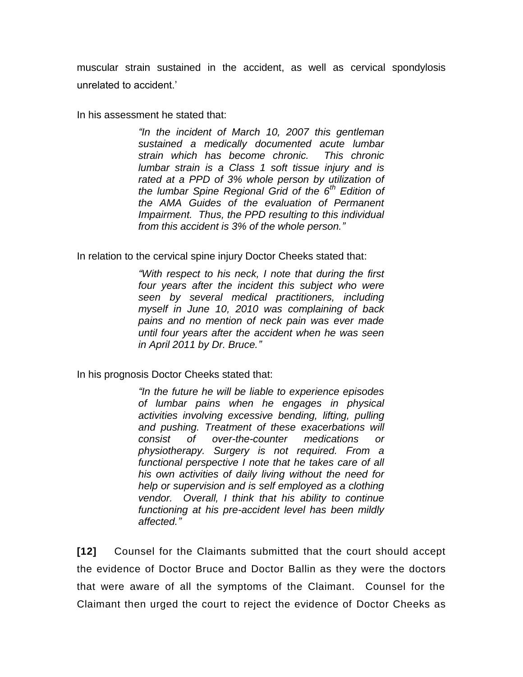muscular strain sustained in the accident, as well as cervical spondylosis unrelated to accident.'

In his assessment he stated that:

*"In the incident of March 10, 2007 this gentleman sustained a medically documented acute lumbar strain which has become chronic. This chronic lumbar strain is a Class 1 soft tissue injury and is rated at a PPD of 3% whole person by utilization of the lumbar Spine Regional Grid of the 6th Edition of the AMA Guides of the evaluation of Permanent Impairment. Thus, the PPD resulting to this individual from this accident is 3% of the whole person."*

In relation to the cervical spine injury Doctor Cheeks stated that:

*"With respect to his neck, I note that during the first four years after the incident this subject who were seen by several medical practitioners, including myself in June 10, 2010 was complaining of back pains and no mention of neck pain was ever made until four years after the accident when he was seen in April 2011 by Dr. Bruce."*

In his prognosis Doctor Cheeks stated that:

*"In the future he will be liable to experience episodes of lumbar pains when he engages in physical activities involving excessive bending, lifting, pulling and pushing. Treatment of these exacerbations will consist of over-the-counter medications or physiotherapy. Surgery is not required. From a functional perspective I note that he takes care of all his own activities of daily living without the need for help or supervision and is self employed as a clothing vendor. Overall, I think that his ability to continue functioning at his pre-accident level has been mildly affected."*

**[12]** Counsel for the Claimants submitted that the court should accept the evidence of Doctor Bruce and Doctor Ballin as they were the doctors that were aware of all the symptoms of the Claimant. Counsel for the Claimant then urged the court to reject the evidence of Doctor Cheeks as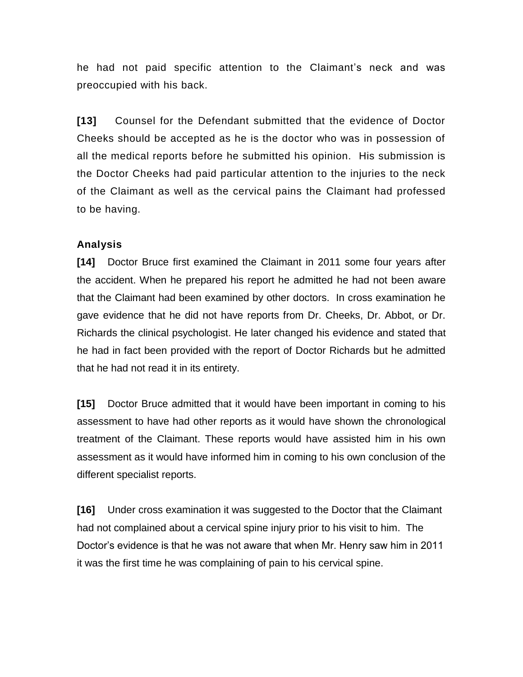he had not paid specific attention to the Claimant's neck and was preoccupied with his back.

**[13]** Counsel for the Defendant submitted that the evidence of Doctor Cheeks should be accepted as he is the doctor who was in possession of all the medical reports before he submitted his opinion. His submission is the Doctor Cheeks had paid particular attention to the injuries to the neck of the Claimant as well as the cervical pains the Claimant had professed to be having.

## **Analysis**

**[14]** Doctor Bruce first examined the Claimant in 2011 some four years after the accident. When he prepared his report he admitted he had not been aware that the Claimant had been examined by other doctors. In cross examination he gave evidence that he did not have reports from Dr. Cheeks, Dr. Abbot, or Dr. Richards the clinical psychologist. He later changed his evidence and stated that he had in fact been provided with the report of Doctor Richards but he admitted that he had not read it in its entirety.

**[15]** Doctor Bruce admitted that it would have been important in coming to his assessment to have had other reports as it would have shown the chronological treatment of the Claimant. These reports would have assisted him in his own assessment as it would have informed him in coming to his own conclusion of the different specialist reports.

**[16]** Under cross examination it was suggested to the Doctor that the Claimant had not complained about a cervical spine injury prior to his visit to him. The Doctor's evidence is that he was not aware that when Mr. Henry saw him in 2011 it was the first time he was complaining of pain to his cervical spine.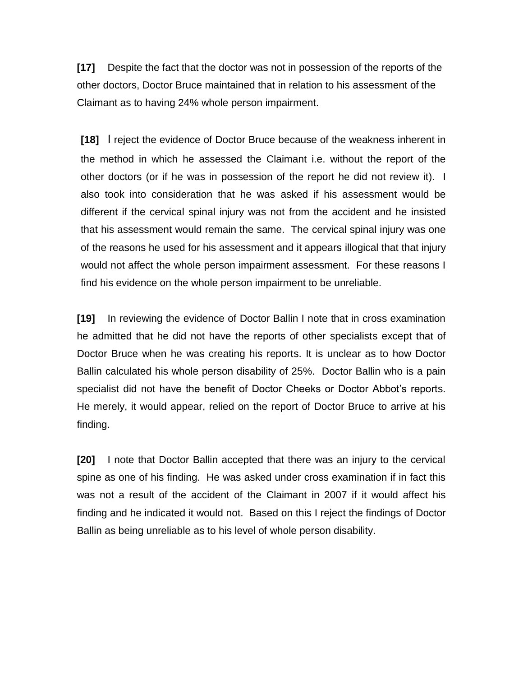**[17]** Despite the fact that the doctor was not in possession of the reports of the other doctors, Doctor Bruce maintained that in relation to his assessment of the Claimant as to having 24% whole person impairment.

**[18]** I reject the evidence of Doctor Bruce because of the weakness inherent in the method in which he assessed the Claimant i.e. without the report of the other doctors (or if he was in possession of the report he did not review it). I also took into consideration that he was asked if his assessment would be different if the cervical spinal injury was not from the accident and he insisted that his assessment would remain the same. The cervical spinal injury was one of the reasons he used for his assessment and it appears illogical that that injury would not affect the whole person impairment assessment. For these reasons I find his evidence on the whole person impairment to be unreliable.

**[19]** In reviewing the evidence of Doctor Ballin I note that in cross examination he admitted that he did not have the reports of other specialists except that of Doctor Bruce when he was creating his reports. It is unclear as to how Doctor Ballin calculated his whole person disability of 25%. Doctor Ballin who is a pain specialist did not have the benefit of Doctor Cheeks or Doctor Abbot's reports. He merely, it would appear, relied on the report of Doctor Bruce to arrive at his finding.

**[20]** I note that Doctor Ballin accepted that there was an injury to the cervical spine as one of his finding. He was asked under cross examination if in fact this was not a result of the accident of the Claimant in 2007 if it would affect his finding and he indicated it would not. Based on this I reject the findings of Doctor Ballin as being unreliable as to his level of whole person disability.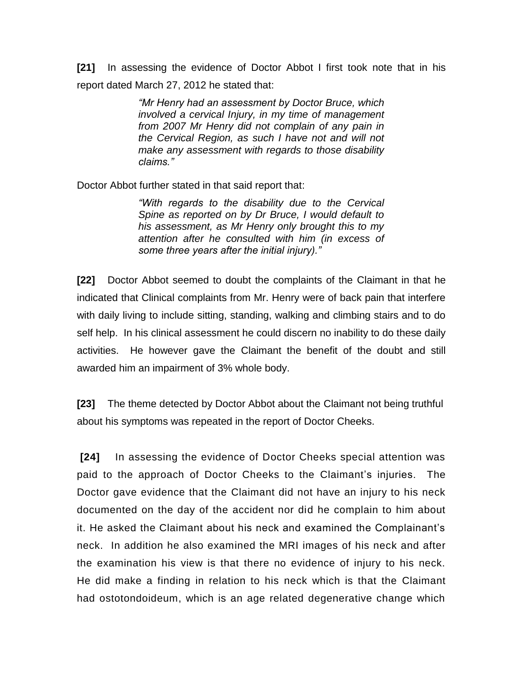**[21]** In assessing the evidence of Doctor Abbot I first took note that in his report dated March 27, 2012 he stated that:

> *"Mr Henry had an assessment by Doctor Bruce, which involved a cervical Injury, in my time of management from 2007 Mr Henry did not complain of any pain in the Cervical Region, as such I have not and will not make any assessment with regards to those disability claims."*

Doctor Abbot further stated in that said report that:

*"With regards to the disability due to the Cervical Spine as reported on by Dr Bruce, I would default to his assessment, as Mr Henry only brought this to my attention after he consulted with him (in excess of some three years after the initial injury)."*

**[22]** Doctor Abbot seemed to doubt the complaints of the Claimant in that he indicated that Clinical complaints from Mr. Henry were of back pain that interfere with daily living to include sitting, standing, walking and climbing stairs and to do self help. In his clinical assessment he could discern no inability to do these daily activities. He however gave the Claimant the benefit of the doubt and still awarded him an impairment of 3% whole body.

**[23]** The theme detected by Doctor Abbot about the Claimant not being truthful about his symptoms was repeated in the report of Doctor Cheeks.

**[24]** In assessing the evidence of Doctor Cheeks special attention was paid to the approach of Doctor Cheeks to the Claimant's injuries. The Doctor gave evidence that the Claimant did not have an injury to his neck documented on the day of the accident nor did he complain to him about it. He asked the Claimant about his neck and examined the Complainant's neck. In addition he also examined the MRI images of his neck and after the examination his view is that there no evidence of injury to his neck. He did make a finding in relation to his neck which is that the Claimant had ostotondoideum, which is an age related degenerative change which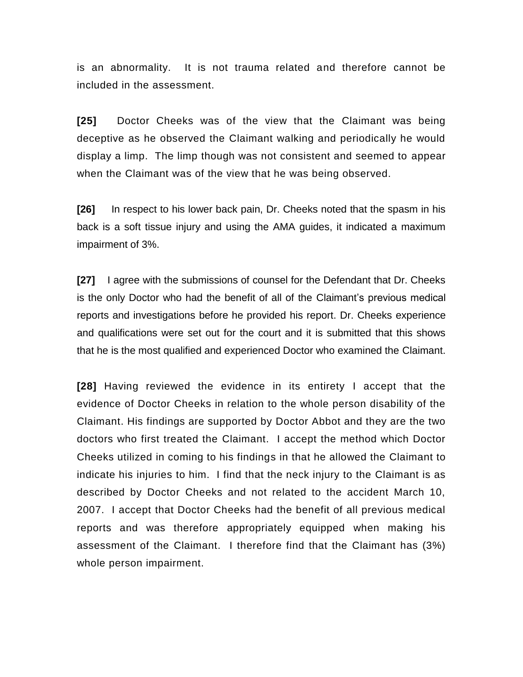is an abnormality. It is not trauma related and therefore cannot be included in the assessment.

**[25]** Doctor Cheeks was of the view that the Claimant was being deceptive as he observed the Claimant walking and periodically he would display a limp. The limp though was not consistent and seemed to appear when the Claimant was of the view that he was being observed.

**[26]** In respect to his lower back pain, Dr. Cheeks noted that the spasm in his back is a soft tissue injury and using the AMA guides, it indicated a maximum impairment of 3%.

**[27]** I agree with the submissions of counsel for the Defendant that Dr. Cheeks is the only Doctor who had the benefit of all of the Claimant's previous medical reports and investigations before he provided his report. Dr. Cheeks experience and qualifications were set out for the court and it is submitted that this shows that he is the most qualified and experienced Doctor who examined the Claimant.

**[28]** Having reviewed the evidence in its entirety I accept that the evidence of Doctor Cheeks in relation to the whole person disability of the Claimant. His findings are supported by Doctor Abbot and they are the two doctors who first treated the Claimant. I accept the method which Doctor Cheeks utilized in coming to his findings in that he allowed the Claimant to indicate his injuries to him. I find that the neck injury to the Claimant is as described by Doctor Cheeks and not related to the accident March 10, 2007. I accept that Doctor Cheeks had the benefit of all previous medical reports and was therefore appropriately equipped when making his assessment of the Claimant. I therefore find that the Claimant has (3%) whole person impairment.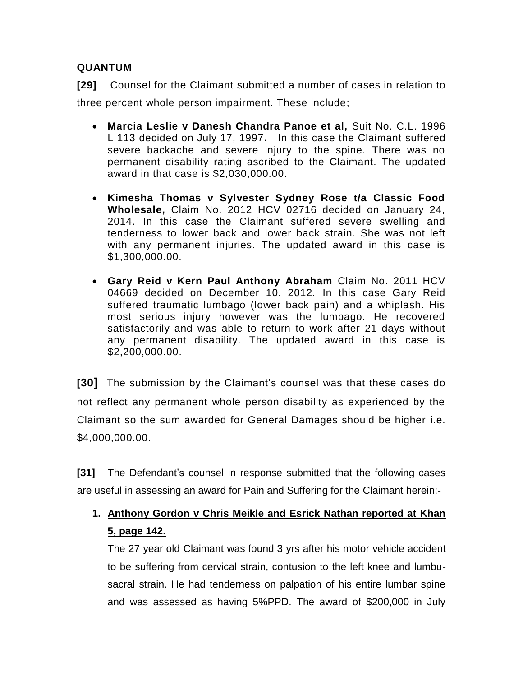# **QUANTUM**

**[29]** Counsel for the Claimant submitted a number of cases in relation to three percent whole person impairment. These include;

- **Marcia Leslie v Danesh Chandra Panoe et al,** Suit No. C.L. 1996 L 113 decided on July 17, 1997**.** In this case the Claimant suffered severe backache and severe injury to the spine. There was no permanent disability rating ascribed to the Claimant. The updated award in that case is \$2,030,000.00.
- **Kimesha Thomas v Sylvester Sydney Rose t/a Classic Food Wholesale,** Claim No. 2012 HCV 02716 decided on January 24, 2014. In this case the Claimant suffered severe swelling and tenderness to lower back and lower back strain. She was not left with any permanent injuries. The updated award in this case is \$1,300,000.00.
- **Gary Reid v Kern Paul Anthony Abraham** Claim No. 2011 HCV 04669 decided on December 10, 2012. In this case Gary Reid suffered traumatic lumbago (lower back pain) and a whiplash. His most serious injury however was the lumbago. He recovered satisfactorily and was able to return to work after 21 days without any permanent disability. The updated award in this case is \$2,200,000.00.

**[30]** The submission by the Claimant's counsel was that these cases do not reflect any permanent whole person disability as experienced by the Claimant so the sum awarded for General Damages should be higher i.e. \$4,000,000.00.

**[31]** The Defendant's counsel in response submitted that the following cases are useful in assessing an award for Pain and Suffering for the Claimant herein:-

# **1. Anthony Gordon v Chris Meikle and Esrick Nathan reported at Khan 5, page 142.**

The 27 year old Claimant was found 3 yrs after his motor vehicle accident to be suffering from cervical strain, contusion to the left knee and lumbusacral strain. He had tenderness on palpation of his entire lumbar spine and was assessed as having 5%PPD. The award of \$200,000 in July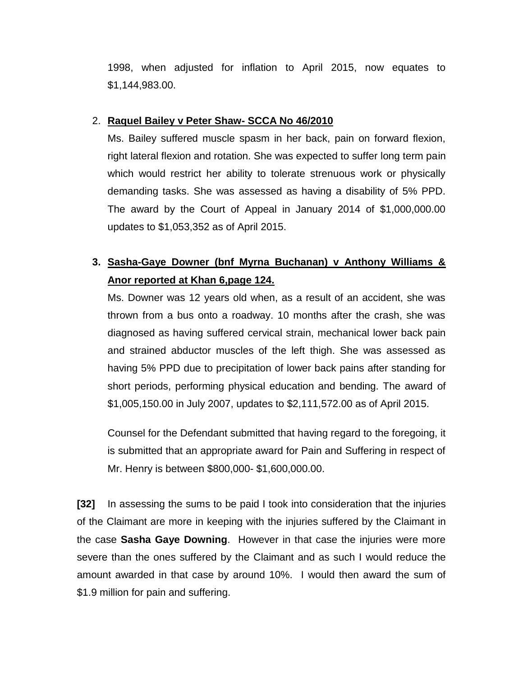1998, when adjusted for inflation to April 2015, now equates to \$1,144,983.00.

#### 2. **Raquel Bailey v Peter Shaw- SCCA No 46/2010**

Ms. Bailey suffered muscle spasm in her back, pain on forward flexion, right lateral flexion and rotation. She was expected to suffer long term pain which would restrict her ability to tolerate strenuous work or physically demanding tasks. She was assessed as having a disability of 5% PPD. The award by the Court of Appeal in January 2014 of \$1,000,000.00 updates to \$1,053,352 as of April 2015.

# **3. Sasha-Gaye Downer (bnf Myrna Buchanan) v Anthony Williams & Anor reported at Khan 6,page 124.**

Ms. Downer was 12 years old when, as a result of an accident, she was thrown from a bus onto a roadway. 10 months after the crash, she was diagnosed as having suffered cervical strain, mechanical lower back pain and strained abductor muscles of the left thigh. She was assessed as having 5% PPD due to precipitation of lower back pains after standing for short periods, performing physical education and bending. The award of \$1,005,150.00 in July 2007, updates to \$2,111,572.00 as of April 2015.

Counsel for the Defendant submitted that having regard to the foregoing, it is submitted that an appropriate award for Pain and Suffering in respect of Mr. Henry is between \$800,000- \$1,600,000.00.

**[32]** In assessing the sums to be paid I took into consideration that the injuries of the Claimant are more in keeping with the injuries suffered by the Claimant in the case **Sasha Gaye Downing**. However in that case the injuries were more severe than the ones suffered by the Claimant and as such I would reduce the amount awarded in that case by around 10%. I would then award the sum of \$1.9 million for pain and suffering.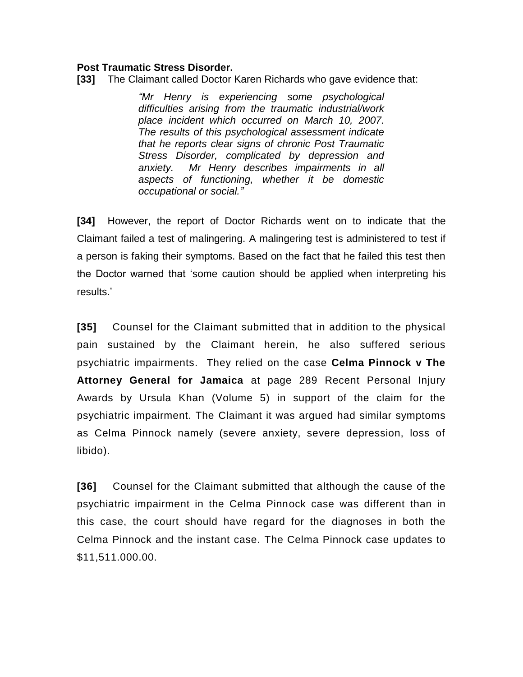#### **Post Traumatic Stress Disorder.**

**[33]** The Claimant called Doctor Karen Richards who gave evidence that:

*"Mr Henry is experiencing some psychological difficulties arising from the traumatic industrial/work place incident which occurred on March 10, 2007. The results of this psychological assessment indicate that he reports clear signs of chronic Post Traumatic Stress Disorder, complicated by depression and anxiety. Mr Henry describes impairments in all aspects of functioning, whether it be domestic occupational or social."*

**[34]** However, the report of Doctor Richards went on to indicate that the Claimant failed a test of malingering. A malingering test is administered to test if a person is faking their symptoms. Based on the fact that he failed this test then the Doctor warned that 'some caution should be applied when interpreting his results.'

**[35]** Counsel for the Claimant submitted that in addition to the physical pain sustained by the Claimant herein, he also suffered serious psychiatric impairments. They relied on the case **Celma Pinnock v The Attorney General for Jamaica** at page 289 Recent Personal Injury Awards by Ursula Khan (Volume 5) in support of the claim for the psychiatric impairment. The Claimant it was argued had similar symptoms as Celma Pinnock namely (severe anxiety, severe depression, loss of libido).

**[36]** Counsel for the Claimant submitted that although the cause of the psychiatric impairment in the Celma Pinnock case was different than in this case, the court should have regard for the diagnoses in both the Celma Pinnock and the instant case. The Celma Pinnock case updates to \$11,511.000.00.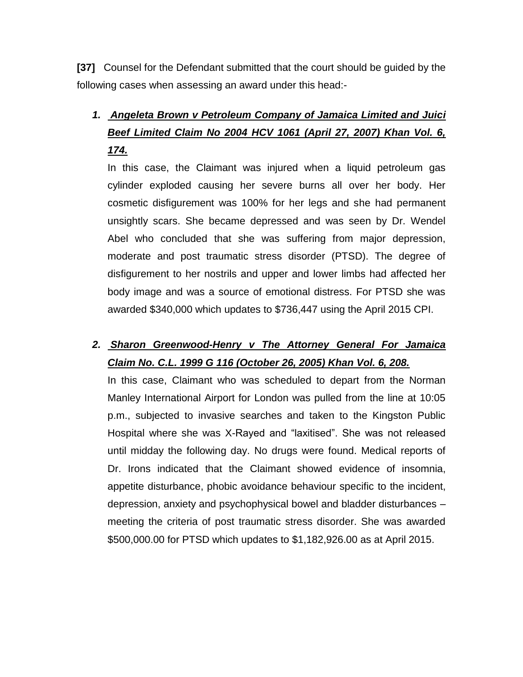**[37]** Counsel for the Defendant submitted that the court should be guided by the following cases when assessing an award under this head:-

# *1. Angeleta Brown v Petroleum Company of Jamaica Limited and Juici Beef Limited Claim No 2004 HCV 1061 (April 27, 2007) Khan Vol. 6, 174.*

In this case, the Claimant was injured when a liquid petroleum gas cylinder exploded causing her severe burns all over her body. Her cosmetic disfigurement was 100% for her legs and she had permanent unsightly scars. She became depressed and was seen by Dr. Wendel Abel who concluded that she was suffering from major depression, moderate and post traumatic stress disorder (PTSD). The degree of disfigurement to her nostrils and upper and lower limbs had affected her body image and was a source of emotional distress. For PTSD she was awarded \$340,000 which updates to \$736,447 using the April 2015 CPI.

# *2. Sharon Greenwood-Henry v The Attorney General For Jamaica Claim No. C.L. 1999 G 116 (October 26, 2005) Khan Vol. 6, 208.*

In this case, Claimant who was scheduled to depart from the Norman Manley International Airport for London was pulled from the line at 10:05 p.m., subjected to invasive searches and taken to the Kingston Public Hospital where she was X-Rayed and "laxitised". She was not released until midday the following day. No drugs were found. Medical reports of Dr. Irons indicated that the Claimant showed evidence of insomnia, appetite disturbance, phobic avoidance behaviour specific to the incident, depression, anxiety and psychophysical bowel and bladder disturbances – meeting the criteria of post traumatic stress disorder. She was awarded \$500,000.00 for PTSD which updates to \$1,182,926.00 as at April 2015.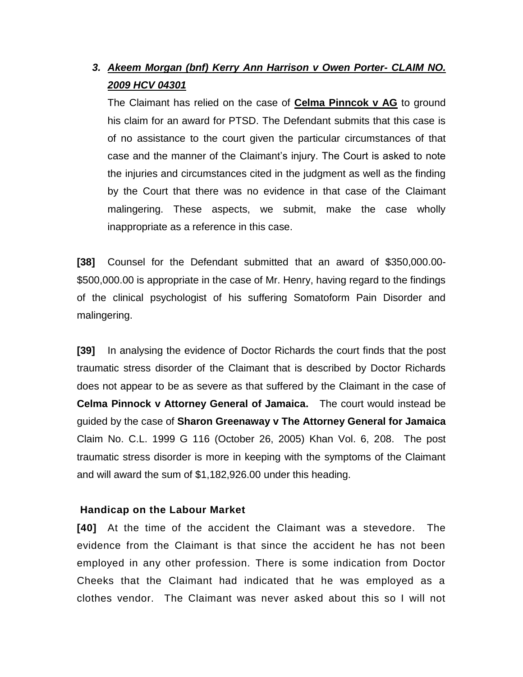# *3. Akeem Morgan (bnf) Kerry Ann Harrison v Owen Porter- CLAIM NO. 2009 HCV 04301*

The Claimant has relied on the case of **Celma Pinncok v AG** to ground his claim for an award for PTSD. The Defendant submits that this case is of no assistance to the court given the particular circumstances of that case and the manner of the Claimant's injury. The Court is asked to note the injuries and circumstances cited in the judgment as well as the finding by the Court that there was no evidence in that case of the Claimant malingering. These aspects, we submit, make the case wholly inappropriate as a reference in this case.

**[38]** Counsel for the Defendant submitted that an award of \$350,000.00- \$500,000.00 is appropriate in the case of Mr. Henry, having regard to the findings of the clinical psychologist of his suffering Somatoform Pain Disorder and malingering.

**[39]** In analysing the evidence of Doctor Richards the court finds that the post traumatic stress disorder of the Claimant that is described by Doctor Richards does not appear to be as severe as that suffered by the Claimant in the case of **Celma Pinnock v Attorney General of Jamaica.** The court would instead be guided by the case of **Sharon Greenaway v The Attorney General for Jamaica** Claim No. C.L. 1999 G 116 (October 26, 2005) Khan Vol. 6, 208. The post traumatic stress disorder is more in keeping with the symptoms of the Claimant and will award the sum of \$1,182,926.00 under this heading.

#### **Handicap on the Labour Market**

**[40]** At the time of the accident the Claimant was a stevedore. The evidence from the Claimant is that since the accident he has not been employed in any other profession. There is some indication from Doctor Cheeks that the Claimant had indicated that he was employed as a clothes vendor. The Claimant was never asked about this so I will not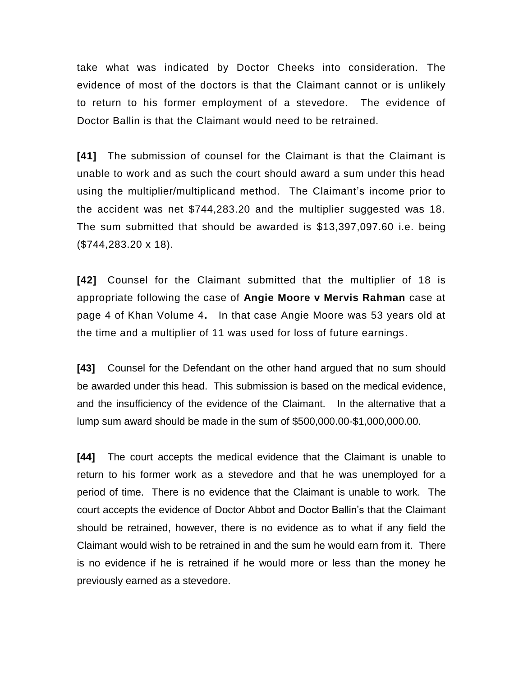take what was indicated by Doctor Cheeks into consideration. The evidence of most of the doctors is that the Claimant cannot or is unlikely to return to his former employment of a stevedore. The evidence of Doctor Ballin is that the Claimant would need to be retrained.

**[41]** The submission of counsel for the Claimant is that the Claimant is unable to work and as such the court should award a sum under this head using the multiplier/multiplicand method. The Claimant's income prior to the accident was net \$744,283.20 and the multiplier suggested was 18. The sum submitted that should be awarded is \$13,397,097.60 i.e. being (\$744,283.20 x 18).

**[42]** Counsel for the Claimant submitted that the multiplier of 18 is appropriate following the case of **Angie Moore v Mervis Rahman** case at page 4 of Khan Volume 4**.** In that case Angie Moore was 53 years old at the time and a multiplier of 11 was used for loss of future earnings.

**[43]** Counsel for the Defendant on the other hand argued that no sum should be awarded under this head. This submission is based on the medical evidence, and the insufficiency of the evidence of the Claimant. In the alternative that a lump sum award should be made in the sum of \$500,000.00-\$1,000,000.00.

**[44]** The court accepts the medical evidence that the Claimant is unable to return to his former work as a stevedore and that he was unemployed for a period of time. There is no evidence that the Claimant is unable to work. The court accepts the evidence of Doctor Abbot and Doctor Ballin's that the Claimant should be retrained, however, there is no evidence as to what if any field the Claimant would wish to be retrained in and the sum he would earn from it. There is no evidence if he is retrained if he would more or less than the money he previously earned as a stevedore.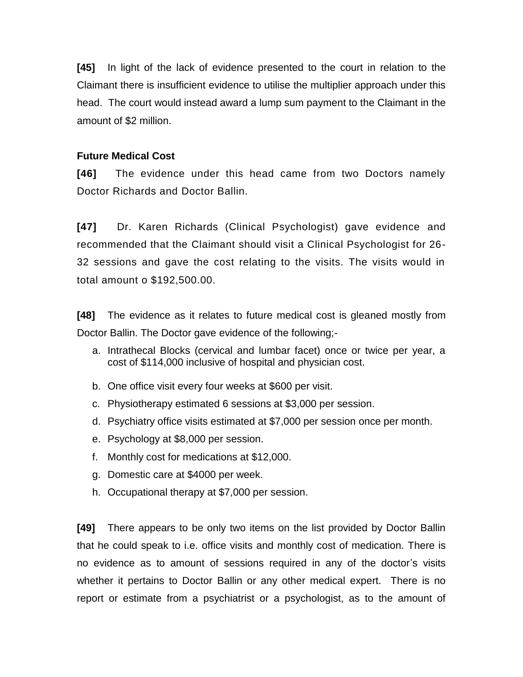**[45]** In light of the lack of evidence presented to the court in relation to the Claimant there is insufficient evidence to utilise the multiplier approach under this head. The court would instead award a lump sum payment to the Claimant in the amount of \$2 million.

# **Future Medical Cost**

**[46]** The evidence under this head came from two Doctors namely Doctor Richards and Doctor Ballin.

**[47]** Dr. Karen Richards (Clinical Psychologist) gave evidence and recommended that the Claimant should visit a Clinical Psychologist for 26- 32 sessions and gave the cost relating to the visits. The visits would in total amount o \$192,500.00.

**[48]** The evidence as it relates to future medical cost is gleaned mostly from Doctor Ballin. The Doctor gave evidence of the following;-

- a. Intrathecal Blocks (cervical and lumbar facet) once or twice per year, a cost of \$114,000 inclusive of hospital and physician cost.
- b. One office visit every four weeks at \$600 per visit.
- c. Physiotherapy estimated 6 sessions at \$3,000 per session.
- d. Psychiatry office visits estimated at \$7,000 per session once per month.
- e. Psychology at \$8,000 per session.
- f. Monthly cost for medications at \$12,000.
- g. Domestic care at \$4000 per week.
- h. Occupational therapy at \$7,000 per session.

**[49]** There appears to be only two items on the list provided by Doctor Ballin that he could speak to i.e. office visits and monthly cost of medication. There is no evidence as to amount of sessions required in any of the doctor's visits whether it pertains to Doctor Ballin or any other medical expert. There is no report or estimate from a psychiatrist or a psychologist, as to the amount of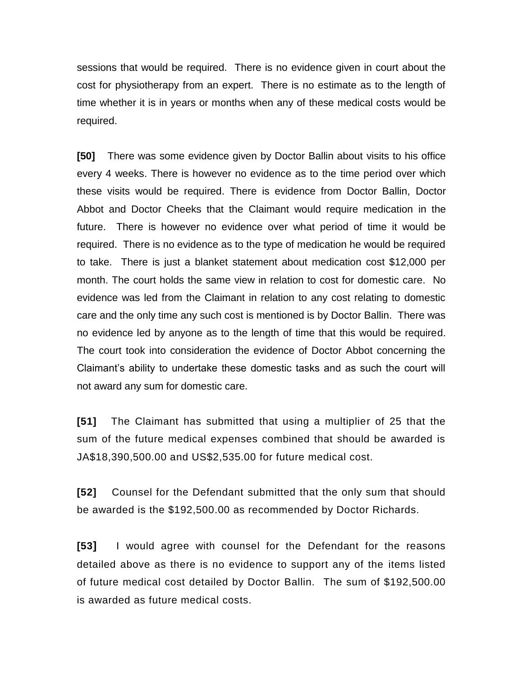sessions that would be required. There is no evidence given in court about the cost for physiotherapy from an expert. There is no estimate as to the length of time whether it is in years or months when any of these medical costs would be required.

**[50]** There was some evidence given by Doctor Ballin about visits to his office every 4 weeks. There is however no evidence as to the time period over which these visits would be required. There is evidence from Doctor Ballin, Doctor Abbot and Doctor Cheeks that the Claimant would require medication in the future. There is however no evidence over what period of time it would be required. There is no evidence as to the type of medication he would be required to take. There is just a blanket statement about medication cost \$12,000 per month. The court holds the same view in relation to cost for domestic care. No evidence was led from the Claimant in relation to any cost relating to domestic care and the only time any such cost is mentioned is by Doctor Ballin. There was no evidence led by anyone as to the length of time that this would be required. The court took into consideration the evidence of Doctor Abbot concerning the Claimant's ability to undertake these domestic tasks and as such the court will not award any sum for domestic care.

**[51]** The Claimant has submitted that using a multiplier of 25 that the sum of the future medical expenses combined that should be awarded is JA\$18,390,500.00 and US\$2,535.00 for future medical cost.

**[52]** Counsel for the Defendant submitted that the only sum that should be awarded is the \$192,500.00 as recommended by Doctor Richards.

**[53]** I would agree with counsel for the Defendant for the reasons detailed above as there is no evidence to support any of the items listed of future medical cost detailed by Doctor Ballin. The sum of \$192,500.00 is awarded as future medical costs.